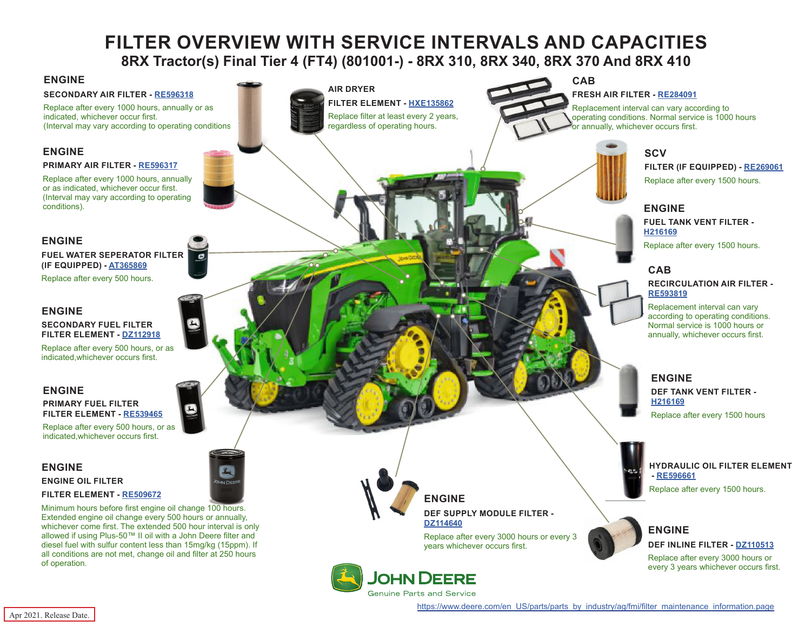# **FILTER OVERVIEW WITH SERVICE INTERVALS AND CAPACITIES 8RX Tractor(s) Final Tier 4 (FT4) (801001-) - 8RX 310, 8RX 340, 8RX 370 And 8RX 410**

## <span id="page-0-0"></span>**ENGINE**

#### **SECONDARY AIR FILTER - [RE596318](https://jdparts.deere.com/servlet/com.deere.u90.jdparts.view.servlets.partinfocontroller.PartDetails?screenName=JDSearch&&partSearchNumber=RE596318)**

Replace after every 1000 hours, annually or as indicated, whichever occur first. (Interval may vary according to operating conditions).

### **ENGINE**

#### **PRIMARY AIR FILTER - [RE596317](https://jdparts.deere.com/servlet/com.deere.u90.jdparts.view.servlets.partinfocontroller.PartDetails?screenName=JDSearch&&partSearchNumber=RE596317)**

Replace after every 1000 hours, annually or as indicated, whichever occur first. (Interval may vary according to operating conditions).

## **ENGINE**

#### **FUEL WATER SEPERATOR FILTER (IF EQUIPPED) - [AT365869](https://jdparts.deere.com/servlet/com.deere.u90.jdparts.view.servlets.partinfocontroller.PartDetails?screenName=JDSearch&&partSearchNumber=AT365869)**

Replace after every 500 hours.

#### **ENGINE**

#### **SECONDARY FUEL FILTER FILTER ELEMENT - [DZ112918](https://jdparts.deere.com/servlet/com.deere.u90.jdparts.view.servlets.partinfocontroller.PartDetails?screenName=JDSearch&&partSearchNumber=DZ112918)**

Replace after every 500 hours, or as indicated,whichever occurs first.

#### **ENGINE**

#### **PRIMARY FUEL FILTER FILTER ELEMENT - [RE539465](https://jdparts.deere.com/servlet/com.deere.u90.jdparts.view.servlets.partinfocontroller.PartDetails?screenName=JDSearch&&partSearchNumber=RE539465)**

Replace after every 500 hours, or as indicated,whichever occurs first.

## **ENGINE ENGINE OIL FILTER**

#### **FILTER ELEMENT - [RE509672](https://jdparts.deere.com/servlet/com.deere.u90.jdparts.view.servlets.partinfocontroller.PartDetails?screenName=JDSearch&&partSearchNumber=RE509672)**

Minimum hours before first engine oil change 100 hours. Extended engine oil change every 500 hours or annually, whichever come first. The extended 500 hour interval is only allowed if using Plus-50™ II oil with a John Deere filter and diesel fuel with sulfur content less than 15mg/kg (15ppm). If all conditions are not met, change oil and filter at 250 hours of operation.



**FILTER ELEMENT - [HXE135862](https://jdparts.deere.com/servlet/com.deere.u90.jdparts.view.servlets.partinfocontroller.PartDetails?screenName=JDSearch&&partSearchNumber=
HXE135862)** Replace filter at least every 2 years,

# **CAB**

#### **FRESH AIR FILTER - [RE284091](https://jdparts.deere.com/servlet/com.deere.u90.jdparts.view.servlets.partinfocontroller.PartDetails?screenName=JDSearch&&partSearchNumber=RE284091)**

Replacement interval can vary according to operating conditions. Normal service is 1000 hours or annually, whichever occurs first.



**FILTER (IF EQUIPPED) - [RE269061](https://jdparts.deere.com/servlet/com.deere.u90.jdparts.view.servlets.partinfocontroller.PartDetails?screenName=JDSearch&&partSearchNumber=RE269061)** Replace after every 1500 hours.

## **ENGINE**

**FUEL TANK VENT FILTER - [H216169](https://jdparts.deere.com/servlet/com.deere.u90.jdparts.view.servlets.partinfocontroller.PartDetails?screenName=JDSearch&&partSearchNumber=H216169)**

Replace after every 1500 hours.

## **CAB**

**RECIRCULATION AIR FILTER - [RE593819](https://jdparts.deere.com/servlet/com.deere.u90.jdparts.view.servlets.partinfocontroller.PartDetails?screenName=JDSearch&&partSearchNumber=RE593819)**

Replacement interval can vary according to operating conditions. Normal service is 1000 hours or annually, whichever occurs first.

## **ENGINE DEF TANK VENT FILTER - [H216169](https://jdparts.deere.com/servlet/com.deere.u90.jdparts.view.servlets.partinfocontroller.PartDetails?screenName=JDSearch&&partSearchNumber=H216169)**

Replace after every 1500 hours



**HYDRAULIC OIL FILTER ELEMENT - [RE596661](https://jdparts.deere.com/servlet/com.deere.u90.jdparts.view.servlets.partinfocontroller.PartDetails?screenName=JDSearch&&partSearchNumber=RE596661)** Replace after every 1500 hours.



## **ENGINE DEF INLINE FILTER - [DZ110513](https://jdparts.deere.com/servlet/com.deere.u90.jdparts.view.servlets.partinfocontroller.PartDetails?screenName=JDSearch&&partSearchNumber=DZ110513)**

Replace after every 3000 hours or every 3 years whichever occurs first.

**JOHN DEERE** Genuine Parts and Service

**ENGINE**

**[DZ114640](https://jdparts.deere.com/servlet/com.deere.u90.jdparts.view.servlets.partinfocontroller.PartDetails?screenName=JDSearch&&partSearchNumber=DZ114640)**

**DEF SUPPLY MODULE FILTER -** 

years whichever occurs first.

Replace after every 3000 hours or every 3

[https://www.deere.com/en\\_US/parts/parts\\_by\\_industry/ag/fmi/filter\\_maintenance\\_information.page](https://www.deere.com/en_US/parts/parts_by_industry/ag/fmi/filter_maintenance_information.page)

Apr 2021. Release Date.